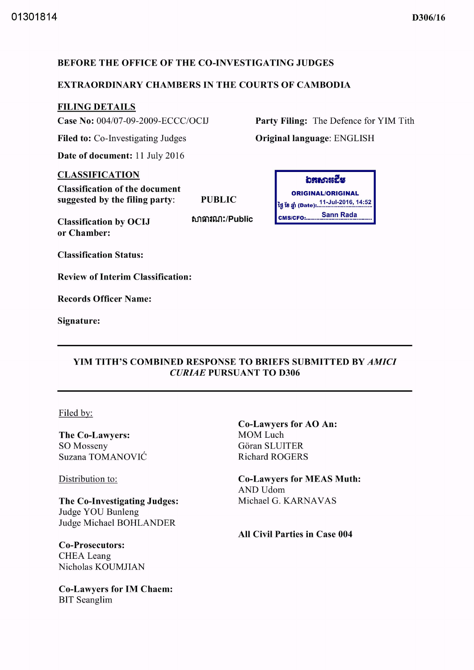## BEFORE THE OFFICE OF THE CO-INVESTIGATING JUDGES

### EXTRAORDINARY CHAMBERS IN THE COURTS OF CAMBODIA

## FILING DETAILS

Case No: 004/07-09-2009-ECCC/OCIJ

Filed to: Co-Investigating Judges

Date of document: 11 July 2016

### CLASSIFICATION

Classification of the document suggested by the filing party:

PUBLIC

Classification by OCIJ or Chamber:

សាធារណ:/Public

**່**<br>ລະຍາແຮຼງຂ ORIGINAL/ORIGINAL ថ្ងៃ ខែ ឆ្នាំ (Date): .<sup>11-Jul-2016, 14:52</sup>

CMS/CFO: Sann Rada

Original language: ENGLISH

Party Filing: The Defence for YIM Tith

Classification Status:

Review of Interim Classification:

Records Officer Name:

Signature:

### YIM TITH'S COMBINED RESPONSE TO BRIEFS SUBMITTED BY *AMICI CURIAE* PURSUANT TO D306

Filed by:

The Co-Lawyers: SO Mosseny Suzana TOMANOVIC

Distribution to:

The Co-Investigating Judges: Judge YOU Bunleng Judge Michael BOHLANDER

Co-Prosecutors: CHEA Leang Nicholas KOUMJIAN

Co-Lawyers for 1M Chaem: BIT Seanglim

Co-Lawyers for AO An: MOM Luch Göran SLUITER Richard ROGERS

Co-Lawyers for MEAS Muth: **AND Udom** Michael G. KARNAVAS

All Civil Parties in Case 004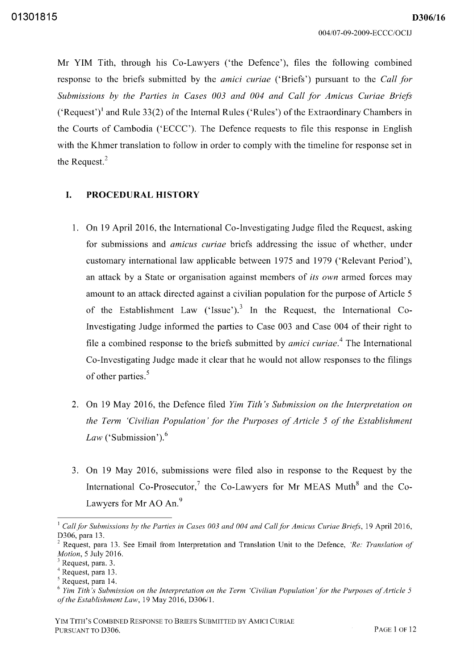Mr YIM Tith, through his Co-Lawyers ('the Defence'), files the following combined response to the briefs submitted by the *amici curiae* ('Briefs') pursuant to the *Call for Submissions by the Parties in Cases 003 and 004 and Call for Amicus Curiae Briefs*  ('Request')<sup>1</sup> and Rule 33(2) of the Internal Rules ('Rules') of the Extraordinary Chambers in the Courts of Cambodia ('ECCC'). The Defence requests to file this response in English with the Khmer translation to follow in order to comply with the time line for response set in the Request.<sup>2</sup>

#### **I. PROCEDURAL HISTORY**

- l. On 19 April 2016, the International Co-Investigating Judge filed the Request, asking for submissions and *amicus curiae* briefs addressing the issue of whether, under customary international law applicable between 1975 and 1979 ('Relevant Period'), an attack by a State or organisation against members of *its own* armed forces may amount to an attack directed against a civilian population for the purpose of Article 5 of the Establishment Law ('Issue').<sup>3</sup> In the Request, the International Co-Investigating Judge informed the parties to Case 003 and Case 004 of their right to file a combined response to the briefs submitted by *amici curiae. <sup>4</sup>*The International Co-Investigating Judge made it clear that he would not allow responses to the filings of other parties.<sup>5</sup>
- 2. On 19 May 2016, the Defence filed *Yim Tith's Submission on the Interpretation on the Term 'Civilian Population' for the Purposes of Article* 5 *of the Establishment Law* ('Submission').<sup>6</sup>
- 3. On 19 May 2016, submissions were filed also in response to the Request by the International Co-Prosecutor,<sup>7</sup> the Co-Lawyers for Mr MEAS Muth<sup>8</sup> and the Co-Lawyers for Mr AO An.<sup>9</sup>

<sup>&</sup>lt;sup>1</sup> Call for Submissions by the Parties in Cases 003 and 004 and Call for Amicus Curiae Briefs, 19 April 2016, D306, para 13.

 $2$  Request, para 13. See Email from Interpretation and Translation Unit to the Defence, *'Re: Translation of Motion,* 5 July 2016.

Request, para. 3.

<sup>4</sup> Request, para 13.

<sup>5</sup> Request, para 14.

<sup>&</sup>lt;sup>6</sup> Yim Tith's Submission on the Interpretation on the Term 'Civilian Population' for the Purposes of Article 5 *oj'the Establishment Law,* 19 May 2016, D306/l.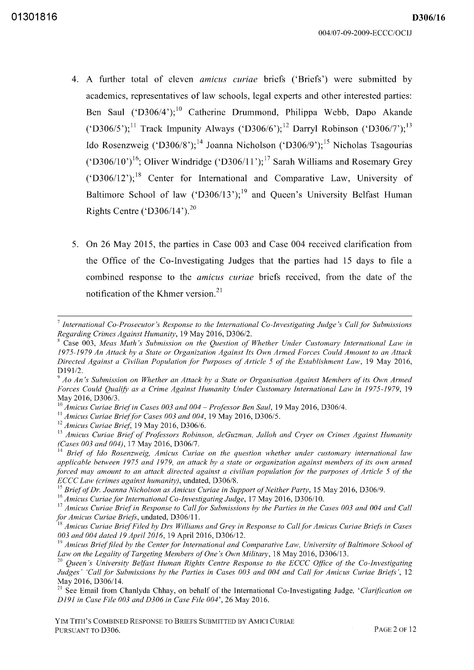- 4. A further total of eleven *amicus curiae* briefs ('Briefs') were submitted by academics, representatives of law schools, legal experts and other interested parties: Ben Saul ('D306/4');<sup>10</sup> Catherine Drummond, Philippa Webb, Dapo Akande ('D306/5');<sup>11</sup> Track Impunity Always ('D306/6');<sup>12</sup> Darryl Robinson ('D306/7');<sup>13</sup> Ido Rosenzweig ('D306/8');<sup>14</sup> Joanna Nicholson ('D306/9');<sup>15</sup> Nicholas Tsagourias ('D306/10')<sup>16</sup>; Oliver Windridge ('D306/11');<sup>17</sup> Sarah Williams and Rosemary Grey ('D306/12');<sup>18</sup> Center for International and Comparative Law, University of Baltimore School of law ('D306/13');<sup>19</sup> and Queen's University Belfast Human Rights Centre ('D306/14').<sup>20</sup>
- 5. On 26 May 2015, the parties in Case 003 and Case 004 received clarification from the Office of the Co-Investigating Judges that the parties had 15 days to file a combined response to the *amicus curiae* briefs received, from the date of the notification of the Khmer version.<sup>21</sup>

<sup>11</sup>*Amicus Curiae Brieffor Cases 003 and 004,* 19 May 2016, D306/5.

<sup>15</sup> Brief of Dr. Joanna Nicholson as Amicus Curiae in Support of Neither Party, 15 May 2016, D306/9.

<sup>16</sup> Amicus Curiae for International Co-Investigating Judge, 17 May 2016, D306/10.

<sup>17</sup> Amicus Curiae Brief in Response to Call for Submissions by the Parties in the Cases 003 and 004 and Call *for Amicus Curiae Briefs*, undated, D306/11.

<sup>&</sup>lt;sup>7</sup> International Co-Prosecutor's Response to the International Co-Investigating Judge's Call for Submissions *Regarding Crimes Against Humanity,* 19 May 2016, *D30612.* 

x Case 003, *Meas Muth's Submission on the Question oj' Whether Under Customary International Law in 1975-1979 An Attack by a State or Organization Against Its Own Armed Forces Could Amount to an Attack Directed Against a Civilian Population for Purposes of Article* 5 *oj' the Establishment Law,* 19 May 2016, *D19112.* 

<sup>&</sup>lt;sup>9</sup> Ao An's Submission on Whether an Attack by a State or Organisation Against Members of its Own Armed Forces Could Qualify as a Crime Against Humanity Under Customary International Law in 1975-1979, 19 May 2016, D306/3.

<sup>&</sup>lt;sup>10</sup> Amicus Curiae Brief in Cases 003 and 004 – Professor Ben Saul, 19 May 2016, D306/4.

<sup>12</sup>*Amicus Curiae Brief;* 19 May 2016, D306/6.

<sup>&</sup>lt;sup>13</sup> Amicus Curiae Brief of Professors Robinson, deGuzman, Jalloh and Cryer on Crimes Against Humanity *(Cases 003 and 004),17* May 2016, *D30617.* 

<sup>14</sup>*Briej' oj' Ido Rosenzweig, Amicus Curiae on the question whether under customary international law applicable between* 1975 *and* 1979, *an attack by a state or organization against members oj'its own armed forced may amount to an attack directed against a civilian population for the purposes of Article 5 of the ECCC Law (crimes against humanity),* undated, D306/8.

<sup>&</sup>lt;sup>18</sup> Amicus Curiae Brief Filed by Drs Williams and Grey in Response to Call for Amicus Curiae Briefs in Cases *003 and 004 dated* 19 *April 2016,* 19 Apri12016, D306/12.

<sup>&</sup>lt;sup>19</sup> Amicus Brief filed by the Center for International and Comparative Law, University of Baltimore School of *Law on the Legality oj'Targeting Members oj'One's Own Military,* 18 May 2016, D306/13.

<sup>&</sup>lt;sup>20</sup> Queen's University Belfast Human Rights Centre Response to the ECCC Office of the Co-Investigating Judges' 'Call for Submissions by the Parties in Cases 003 and 004 and Call for Amicus Curiae Briefs', 12 May 2016, D306/14.

<sup>&</sup>lt;sup>21</sup> See Email from Chanlyda Chhay, on behalf of the International Co-Investigating Judge, *'Clarification on D191 in Case File 003 and D306 in Case File 004',* 26 May 2016.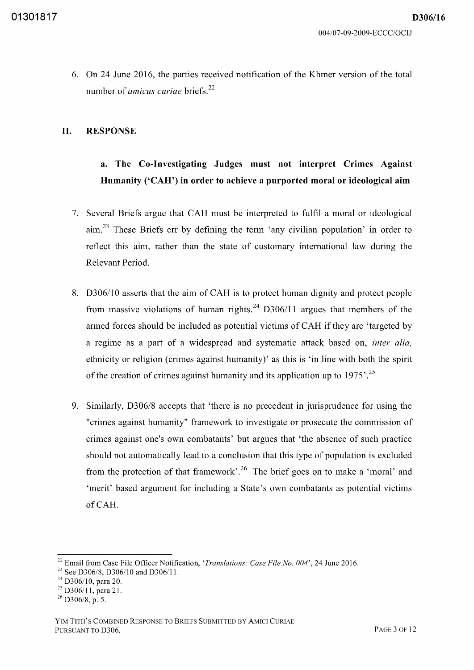*D306/16* 

6. On 24 June 2016, the parties received notification of the Khmer version of the total number of *amicus curiae* briefs. <sup>22</sup>

### **II. RESPONSE**

# **a. The Co-Investigating Judges must not interpret Crimes Against Humanity ('CAH') in order to achieve a purported moral or ideological aim**

- 7. Several Briefs argue that CAH must be interpreted to fulfil a moral or ideological aim.23 These Briefs err by defining the term 'any civilian population' in order to reflect this aim, rather than the state of customary international law during the Relevant Period.
- 8. D306/10 asserts that the aim of CAH is to protect human dignity and protect people from massive violations of human rights.<sup>24</sup> D306/11 argues that members of the armed forces should be included as potential victims of CAH if they are 'targeted by a regime as a part of a widespread and systematic attack based on, *inter alia,*  ethnicity or religion (crimes against humanity)' as this is 'in line with both the spirit of the creation of crimes against humanity and its application up to  $1975'$ .<sup>25</sup>
- 9. Similarly, *D306/8* accepts that 'there is no precedent in jurisprudence for using the "crimes against humanity" framework to investigate or prosecute the commission of crimes against one's own combatants' but argues that 'the absence of such practice should not automatically lead to a conclusion that this type of population is excluded from the protection of that framework'. 26 The brief goes on to make a 'moral' and 'merit' based argument for including a State's own combatants as potential victims ofCAH.

<sup>22</sup> Email from Case File Officer Notification, *'Translations: Case File No. 004',* 24 June 2016.

<sup>&</sup>lt;sup>23</sup> See D306/8, D306/10 and D306/11.

<sup>&</sup>lt;sup>24</sup> D306/10, para 20.

<sup>&</sup>lt;sup>25</sup> D306/11, para 21.

 $^{26}$  D306/8, p. 5.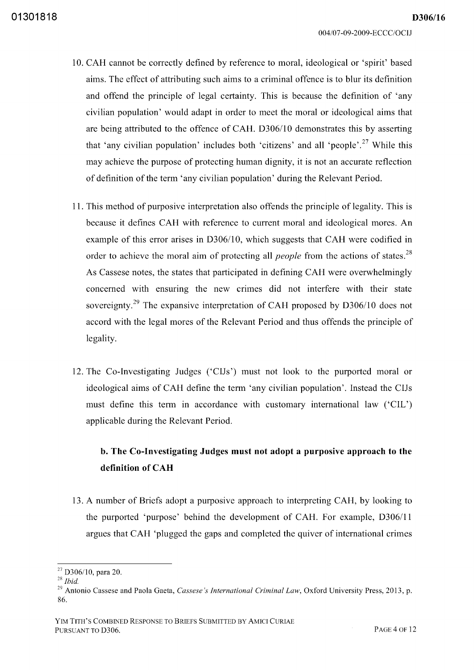*D306/16* 

- 10. CAH cannot be correctly defined by reference to moral, ideological or 'spirit' based aims. The effect of attributing such aims to a criminal offence is to blur its definition and offend the principle of legal certainty. This is because the definition of 'any civilian population' would adapt in order to meet the moral or ideological aims that are being attributed to the offence of CAH. D306/10 demonstrates this by asserting that 'any civilian population' includes both 'citizens' and all 'people'.<sup>27</sup> While this may achieve the purpose of protecting human dignity, it is not an accurate reflection of definition of the term 'any civilian population' during the Relevant Period.
- 11. This method of purposive interpretation also offends the principle of legality. This is because it defines CAH with reference to current moral and ideological mores. An example of this error arises in D306/10, which suggests that CAH were codified in order to achieve the moral aim of protecting all *people* from the actions of states.<sup>28</sup> As Cassese notes, the states that participated in defining CAH were overwhelmingly concerned with ensuring the new crimes did not interfere with their state sovereignty.<sup>29</sup> The expansive interpretation of CAH proposed by  $D306/10$  does not accord with the legal mores of the Relevant Period and thus offends the principle of legality.
- 12. The Co-Investigating Judges ('CIJs') must not look to the purported moral or ideological aims of CAH define the term 'any civilian population'. Instead the CIJs must define this term in accordance with customary international law ('CIL') applicable during the Relevant Period.

# **b. The Co-Investigating Judges must not adopt a purposive approach to the definition of CAH**

13. A number of Briefs adopt a purposive approach to interpreting CAH, by looking to the purported 'purpose' behind the development of CAH. For example, D306/11 argues that CAH 'plugged the gaps and completed the quiver of international crimes

 $27$  D306/10, para 20.

*<sup>28</sup> Ibid.* 

<sup>29</sup> Antonio Cassese and Paola Gaeta, *Cassese's International Criminal Law,* Oxford University Press, 2013, p. 86.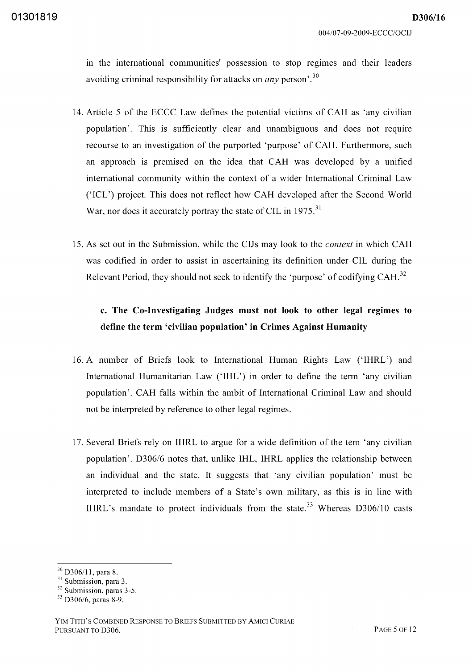in the international communities' possession to stop regimes and their leaders avoiding criminal responsibility for attacks on *any* person<sup>'.30</sup>

- 14. Article 5 of the ECCC Law defines the potential victims of CAH as 'any civilian population'. This is sufficiently clear and unambiguous and does not require recourse to an investigation of the purported 'purpose' of CAH. Furthermore, such an approach is premised on the idea that CAH was developed by a unified international community within the context of a wider International Criminal Law ('ICL') project. This does not reflect how CAH developed after the Second World War, nor does it accurately portray the state of CIL in 1975.<sup>31</sup>
- 15. As set out in the Submission, while the CIJs may look to the *context* in which CAH was codified in order to assist in ascertaining its definition under CIL during the Relevant Period, they should not seek to identify the 'purpose' of codifying CAH.<sup>32</sup>

# **c. The Co-Investigating Judges must not look to other legal regimes to define the term 'civilian population' in Crimes Against Humanity**

- 16. A number of Briefs look to International Human Rights Law ('IHRL') and International Humanitarian Law ('IHL') in order to define the term 'any civilian population'. CAH falls within the ambit of International Criminal Law and should not be interpreted by reference to other legal regimes.
- 17. Several Briefs rely on IHRL to argue for a wide definition of the tern 'any civilian population'. *D306/6* notes that, unlike IHL, IHRL applies the relationship between an individual and the state. It suggests that 'any civilian population' must be interpreted to include members of a State's own military, as this is in line with IHRL's mandate to protect individuals from the state.<sup>33</sup> Whereas  $D306/10$  casts

<sup>&</sup>lt;sup>30</sup> D306/11, para 8.

<sup>&</sup>lt;sup>31</sup> Submission, para 3.

<sup>&</sup>lt;sup>32</sup> Submission, paras 3-5.

<sup>33</sup> D306/6, paras 8-9.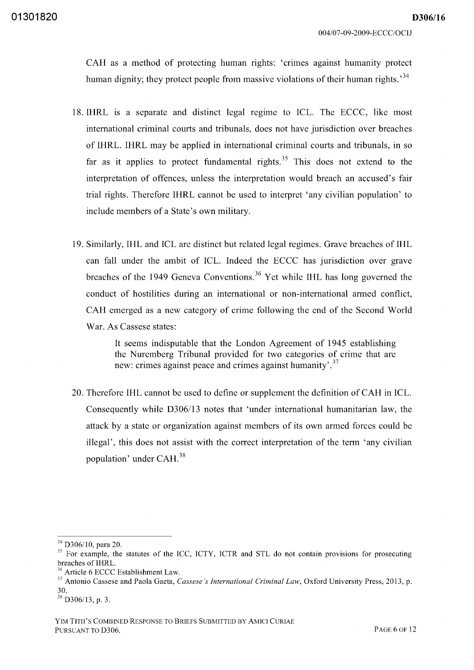CAH as a method of protecting human rights: 'crimes against humanity protect human dignity; they protect people from massive violations of their human rights.<sup>34</sup>

- 18. IHRL is a separate and distinct legal regime to ICL. The ECCC, like most international criminal courts and tribunals, does not have jurisdiction over breaches of **IHRL. IHRL** may be applied in international criminal courts and tribunals, in so far as it applies to protect fundamental rights.<sup>35</sup> This does not extend to the interpretation of offences, unless the interpretation would breach an accused's fair trial rights. Therefore **IHRL** cannot be used to interpret 'any civilian population' to include members of a State's own military.
- 19. Similarly, **IHL** and ICL are distinct but related legal regimes. Grave breaches of **IHL**  can fall under the ambit of ICL. Indeed the ECCC has jurisdiction over grave breaches of the 1949 Geneva Conventions. 36 Yet while **IHL** has long governed the conduct of hostilities during an international or non-international armed conflict, CAH emerged as a new category of crime following the end of the Second World War. As Cassese states:

It seems indisputable that the London Agreement of 1945 establishing the Nuremberg Tribunal provided for two categories of crime that are new: crimes against peace and crimes against humanity'.<sup>37</sup>

20. Therefore **IHL** cannot be used to define or supplement the definition of CAH in ICL. Consequently while D306/13 notes that 'under international humanitarian law, the attack by a state or organization against members of its own armed forces could be illegal', this does not assist with the correct interpretation of the term 'any civilian population' under CAH. <sup>38</sup>

<sup>&</sup>lt;sup>34</sup> D306/10, para 20.

<sup>&</sup>lt;sup>35</sup> For example, the statutes of the ICC, ICTY, ICTR and STL do not contain provisions for prosecuting breaches of IHRL.

<sup>36</sup> Article 6 ECCC Establishment Law.

<sup>37</sup> Antonio Cassese and Paola Gaeta, *Cassese's International Criminal Law,* Oxford University Press, 2013, p. 30.

<sup>&</sup>lt;sup>38</sup> D306/13, p. 3.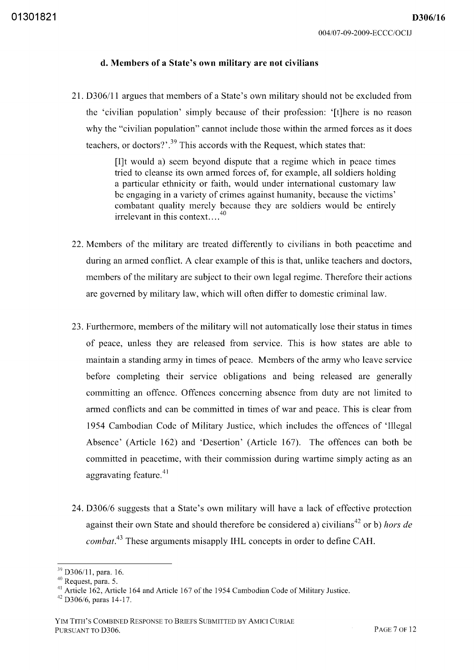#### **d. Members of a State's own military are not civilians**

21. D30611l argues that members of a State's own military should not be excluded from the 'civilian population' simply because of their profession: '[t]here is no reason why the "civilian population" cannot include those within the armed forces as it does teachers, or doctors?'.<sup>39</sup> This accords with the Request, which states that:

> [1]t would a) seem beyond dispute that a regime which in peace times tried to cleanse its own armed forces of, for example, all soldiers holding a particular ethnicity or faith, would under international customary law be engaging in a variety of crimes against humanity, because the victims' combatant quality merely because they are soldiers would be entirely irrelevant in this context....<sup>40</sup>

- 22. Members of the military are treated differently to civilians in both peacetime and during an armed conflict. A clear example of this is that, unlike teachers and doctors, members of the military are subject to their own legal regime. Therefore their actions are governed by military law, which will often differ to domestic criminal law.
- 23. Furthermore, members of the military will not automatically lose their status in times of peace, unless they are released from service. This is how states are able to maintain a standing army in times of peace. Members of the army who leave service before completing their service obligations and being released are generally committing an offence. Offences concerning absence from duty are not limited to armed conflicts and can be committed in times of war and peace. This is clear from 1954 Cambodian Code of Military Justice, which includes the offences of 'Illegal Absence' (Article 162) and 'Desertion' (Article 167). The offences can both be committed in peacetime, with their commission during wartime simply acting as an aggravating feature. $41$
- *24. D306/6* suggests that a State's own military will have a lack of effective protection against their own State and should therefore be considered a) civilians<sup>42</sup> or b) *hors de combat.*<sup>43</sup> These arguments misapply IHL concepts in order to define CAH.

<sup>&</sup>lt;sup>39</sup> D306/11, para. 16.

<sup>40</sup> Request, para. 5.

<sup>&</sup>lt;sup>41</sup> Article 162, Article 164 and Article 167 of the 1954 Cambodian Code of Military Justice.

 $42$  D306/6, paras 14-17.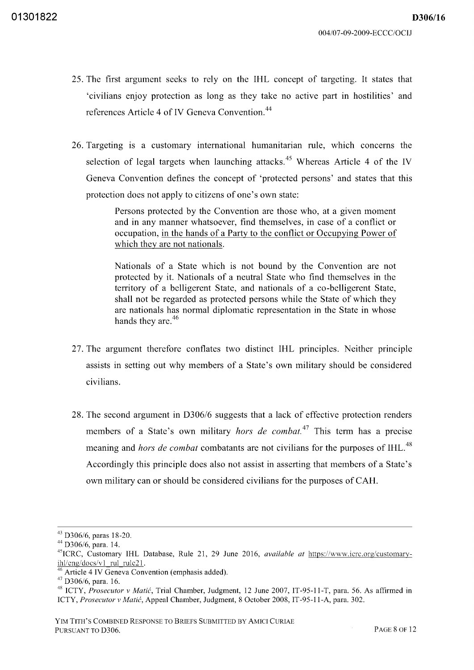- 25. The first argument seeks to rely on the **IHL** concept of targeting. It states that 'civilians enjoy protection as long as they take no active part in hostilities' and references Article 4 of IV Geneva Convention.<sup>44</sup>
- 26. Targeting is a customary international humanitarian rule, which concerns the selection of legal targets when launching attacks.<sup>45</sup> Whereas Article 4 of the IV Geneva Convention defines the concept of 'protected persons' and states that this protection does not apply to citizens of one's own state:

Persons protected by the Convention are those who, at a given moment and in any manner whatsoever, find themselves, in case of a conflict or occupation, in the hands of a Party to the conflict or Occupying Power of which they are not nationals.

Nationals of a State which is not bound by the Convention are not protected by it. Nationals of a neutral State who find themselves in the territory of a belligerent State, and nationals of a co-belligerent State, shall not be regarded as protected persons while the State of which they are nationals has normal diplomatic representation in the State in whose hands they are.<sup>46</sup>

- 27. The argument therefore conflates two distinct **IHL** principles. Neither principle assists in setting out why members of a State's own military should be considered civilians.
- 28. The second argument in *D306/6* suggests that a lack of effective protection renders members of a State's own military *hors de combat.*<sup>47</sup> This term has a precise meaning and *hors de combat* combatants are not civilians for the purposes of IHL.<sup>48</sup> Accordingly this principle does also not assist in asserting that members of a State's own military can or should be considered civilians for the purposes of CAH.

<sup>43</sup> D306/6, paras 18-20.

<sup>44</sup> D306/6, para. 14.

<sup>45</sup> ICRC, Customary IHL Database, Rule 21, 29 June 2016, *available at* https://www.icrc.org/customaryihl/eng/docs/v1 rul rule21.

Article 4 IV Geneva Convention (emphasis added).

<sup>47</sup> D306/6, para. 16.

<sup>48</sup> ICTY, *Prosecutor* v *Matic,* Trial Chamber, Judgment, 12 June 2007, IT-95-11-T, para. 56. As affirmed in ICTY, *Prosecutor* v *Matic,* Appeal Chamber, Judgment, 8 October 2008, IT -95-11-A, para. 302.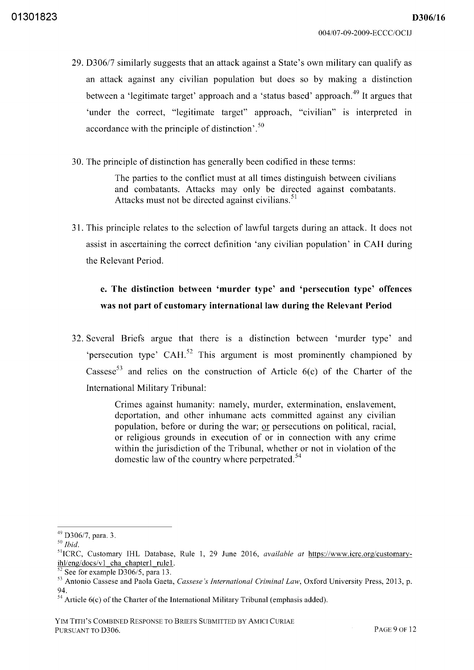*D306/16* 

- *29. D30617* similarly suggests that an attack against a State's own military can qualify as an attack against any civilian population but does so by making a distinction between a 'legitimate target' approach and a 'status based' approach.<sup>49</sup> It argues that 'under the correct, "legitimate target" approach, "civilian" is interpreted in accordance with the principle of distinction'.<sup>50</sup>
- 30. The principle of distinction has generally been codified in these terms:

The parties to the conflict must at all times distinguish between civilians and combatants. Attacks may only be directed against combatants. Attacks must not be directed against civilians.<sup>51</sup>

31. This principle relates to the selection of lawful targets during an attack. It does not assist in ascertaining the correct definition 'any civilian population' in CAH during the Relevant Period.

# **e. The distinction between 'murder type' and 'persecution type' offences was not part of customary** international law **during the Relevant Period**

32. Several Briefs argue that there is a distinction between 'murder type' and 'persecution type' CAH.<sup>52</sup> This argument is most prominently championed by Cassese<sup>53</sup> and relies on the construction of Article  $6(c)$  of the Charter of the International Military Tribunal:

> Crimes against humanity: namely, murder, extermination, enslavement, deportation, and other inhumane acts committed against any civilian population, before or during the war; or persecutions on political, racial, or religious grounds in execution of or in connection with any crime within the jurisdiction of the Tribunal, whether or not in violation of the domestic law of the country where perpetrated.<sup>54</sup>

<sup>49</sup>*D30617,* para. 3.

*<sup>50</sup> Ibid.* 

<sup>51</sup> ICRC, Customary IHL Database, Rule 1, 29 June 2016, *available at* https://www.icrc.org/customaryihl/eng/docs/v1 cha chapter1 rule1.

 $5<sup>2</sup>$  See for example D306/5, para 13.

<sup>53</sup> Antonio Cassese and Paola Gaeta, *Cassese's International Criminal Law,* Oxford University Press, 2013, p. 94.

 $54$  Article 6(c) of the Charter of the International Military Tribunal (emphasis added).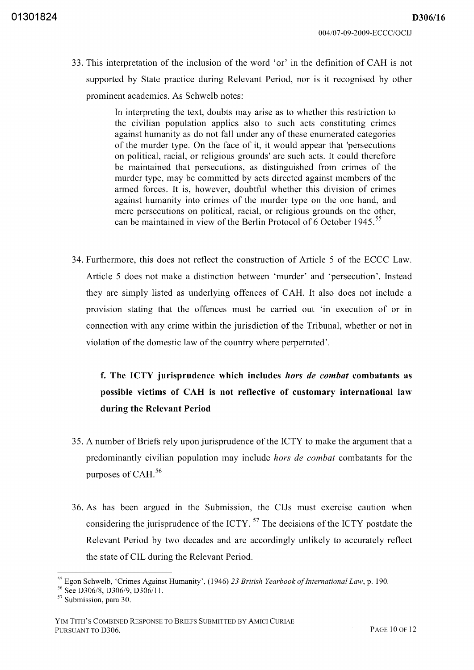33. This interpretation of the inclusion of the word 'or' in the definition of CAH is not supported by State practice during Relevant Period, nor is it recognised by other prominent academics. As Schwelb notes:

> In interpreting the text, doubts may arise as to whether this restriction to the civilian population applies also to such acts constituting crimes against humanity as do not fall under any of these enumerated categories of the murder type. On the face of it, it would appear that 'persecutions on political, racial, or religious grounds' are such acts. It could therefore be maintained that persecutions, as distinguished from crimes of the murder type, may be committed by acts directed against members of the armed forces. It is, however, doubtful whether this division of crimes against humanity into crimes of the murder type on the one hand, and mere persecutions on political, racial, or religious grounds on the other, can be maintained in view of the Berlin Protocol of 6 October 1945.<sup>55</sup>

34. Furthermore, this does not reflect the construction of Article 5 of the ECCC Law. Article 5 does not make a distinction between 'murder' and 'persecution'. Instead they are simply listed as underlying offences of CAH. It also does not include a provision stating that the offences must be carried out 'in execution of or in connection with any crime within the jurisdiction of the Tribunal, whether or not in violation of the domestic law of the country where perpetrated'.

# f. The ICTY jurisprudence which includes *hors de combat* combatants as possible victims of CAH is not reflective of customary international law during the Relevant Period

- 35. A number of Briefs rely upon jurisprudence of the ICTY to make the argument that a predominantly civilian population may include *hors de combat* combatants for the purposes of CAH. 56
- 36. As has been argued in the Submission, the CIJs must exercise caution when considering the jurisprudence of the ICTY. 57 The decisions of the ICTY postdate the Relevant Period by two decades and are accordingly unlikely to accurately reflect the state of CIL during the Relevant Period.

<sup>&</sup>lt;sup>55</sup> Egon Schwelb, 'Crimes Against Humanity', (1946) 23 *British Yearbook of International Law, p.* 190.

 $56 \text{ See } D306/8$ , D306/9, D306/11.

<sup>&</sup>lt;sup>57</sup> Submission, para 30.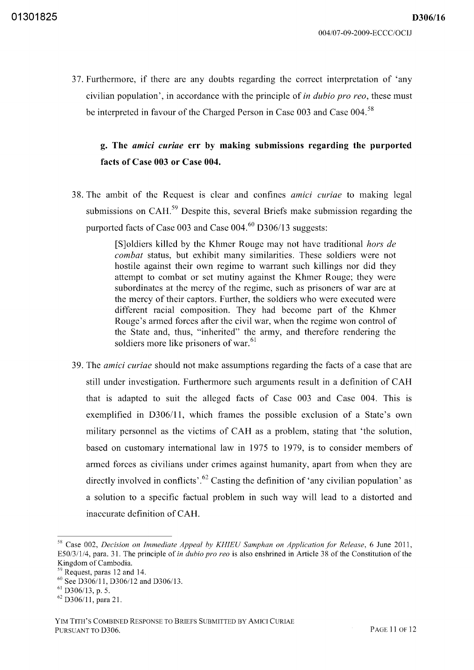37. Furthermore, if there are any doubts regarding the correct interpretation of 'any civilian population', in accordance with the principle of *in dubio pro reo,* these must be interpreted in favour of the Charged Person in Case 003 and Case 004.<sup>58</sup>

## **g. The** *amici curiae* **err by making submissions regarding the purported facts of Case 003 or Case 004.**

38. The ambit of the Request is clear and confines *amici curiae* to making legal submissions on CAH.<sup>59</sup> Despite this, several Briefs make submission regarding the purported facts of Case 003 and Case 004.<sup>60</sup> D306/13 suggests:

> [SJoldiers killed by the Khmer Rouge may not have traditional *hors de combat* status, but exhibit many similarities. These soldiers were not hostile against their own regime to warrant such killings nor did they attempt to combat or set mutiny against the Khmer Rouge; they were subordinates at the mercy of the regime, such as prisoners of war are at the mercy of their captors. Further, the soldiers who were executed were different racial composition. They had become part of the Khmer Rouge's armed forces after the civil war, when the regime won control of the State and, thus, "inherited" the army, and therefore rendering the soldiers more like prisoners of war.<sup>61</sup>

39. The *amici curiae* should not make assumptions regarding the facts of a case that are still under investigation. Furthermore such arguments result in a definition of CAH that is adapted to suit the alleged facts of Case 003 and Case 004. This is exemplified in D306/11, which frames the possible exclusion of a State's own military personnel as the victims of CAH as a problem, stating that 'the solution, based on customary international law in 1975 to 1979, is to consider members of armed forces as civilians under crimes against humanity, apart from when they are directly involved in conflicts'.<sup>62</sup> Casting the definition of 'any civilian population' as a solution to a specific factual problem in such way will lead to a distorted and inaccurate definition of CAH.

<sup>58</sup> Case 002, *Decision on Immediate Appeal by KHIEU Samphan on Application for Release,* 6 June 2011, E50/311/4, para. 31. The principle of *in dubio pro reo* is also enshrined in Article 38 of the Constitution of the Kingdom of Cambodia.

<sup>59</sup> Request, paras 12 and 14.

 $60$  See D306/11, D306/12 and D306/13.

 $61$  D306/13, p. 5.

 $^{62}$  D306/11, para 21.